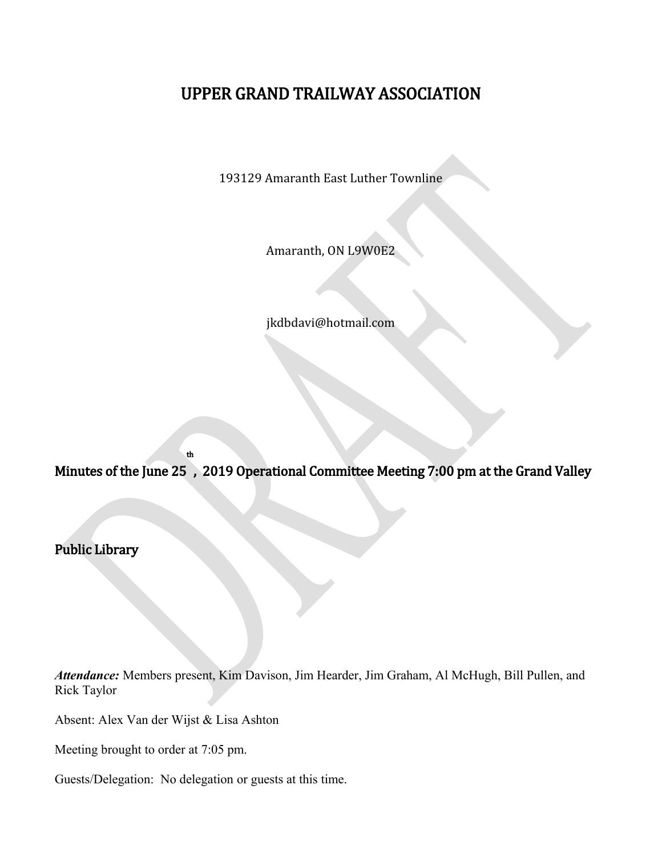# UPPER GRAND TRAILWAY ASSOCIATION

193129 Amaranth East Luther Townline

Amaranth, ON L9W0E2

jkdbdavi@hotmail.com

Minutes of the June 25 , 2019 Operational Committee Meeting 7:00 pm at the Grand Valley

Public Library

*Attendance:* Members present, Kim Davison, Jim Hearder, Jim Graham, Al McHugh, Bill Pullen, and Rick Taylor

Absent: Alex Van der Wijst & Lisa Ashton

th

Meeting brought to order at 7:05 pm.

Guests/Delegation: No delegation or guests at this time.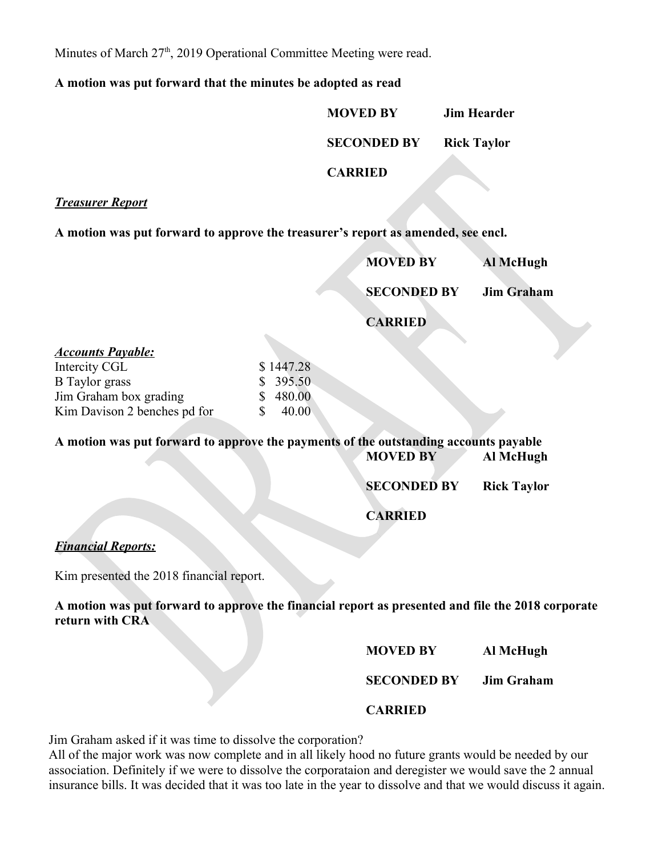Minutes of March 27<sup>th</sup>, 2019 Operational Committee Meeting were read.

**A motion was put forward that the minutes be adopted as read**

**MOVED BY Jim Hearder SECONDED BY Rick Taylor CARRIED**

*Treasurer Report*

**A motion was put forward to approve the treasurer's report as amended, see encl.**

| <b>MOVED BY</b>    | Al McHugh         |
|--------------------|-------------------|
| <b>SECONDED BY</b> | <b>Jim Graham</b> |
| <b>CARRIED</b>     |                   |

| <u>Accounts Payable:</u>     |    |           |
|------------------------------|----|-----------|
| Intercity CGL                |    | \$1447.28 |
| <b>B</b> Taylor grass        |    | \$395.50  |
| Jim Graham box grading       |    | \$480.00  |
| Kim Davison 2 benches pd for | S. | 40.00     |

**A motion was put forward to approve the payments of the outstanding accounts payable MOVED BY Al McHugh** 

**SECONDED BY Rick Taylor**

**CARRIED**

# *Financial Reports:*

Kim presented the 2018 financial report.

**A motion was put forward to approve the financial report as presented and file the 2018 corporate return with CRA**

**MOVED BY Al McHugh**

**SECONDED BY Jim Graham**

**CARRIED**

Jim Graham asked if it was time to dissolve the corporation?

All of the major work was now complete and in all likely hood no future grants would be needed by our association. Definitely if we were to dissolve the corporataion and deregister we would save the 2 annual insurance bills. It was decided that it was too late in the year to dissolve and that we would discuss it again.